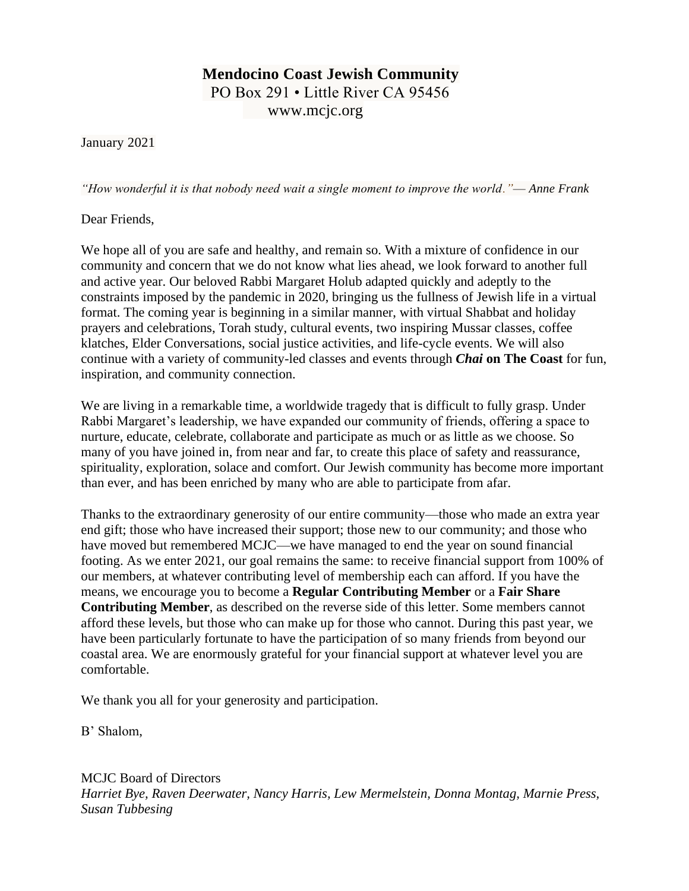## **Mendocino Coast Jewish Community** PO Box 291 • Little River CA 95456 www.mcjc.org

January 2021

*"How wonderful it is that nobody need wait a single moment to improve the world."*— *Anne Frank*

Dear Friends,

We hope all of you are safe and healthy, and remain so. With a mixture of confidence in our community and concern that we do not know what lies ahead, we look forward to another full and active year. Our beloved Rabbi Margaret Holub adapted quickly and adeptly to the constraints imposed by the pandemic in 2020, bringing us the fullness of Jewish life in a virtual format. The coming year is beginning in a similar manner, with virtual Shabbat and holiday prayers and celebrations, Torah study, cultural events, two inspiring Mussar classes, coffee klatches, Elder Conversations, social justice activities, and life-cycle events. We will also continue with a variety of community-led classes and events through *Chai* **on The Coast** for fun, inspiration, and community connection.

We are living in a remarkable time, a worldwide tragedy that is difficult to fully grasp. Under Rabbi Margaret's leadership, we have expanded our community of friends, offering a space to nurture, educate, celebrate, collaborate and participate as much or as little as we choose. So many of you have joined in, from near and far, to create this place of safety and reassurance, spirituality, exploration, solace and comfort. Our Jewish community has become more important than ever, and has been enriched by many who are able to participate from afar.

Thanks to the extraordinary generosity of our entire community—those who made an extra year end gift; those who have increased their support; those new to our community; and those who have moved but remembered MCJC—we have managed to end the year on sound financial footing. As we enter 2021, our goal remains the same: to receive financial support from 100% of our members, at whatever contributing level of membership each can afford. If you have the means, we encourage you to become a **Regular Contributing Member** or a **Fair Share Contributing Member**, as described on the reverse side of this letter. Some members cannot afford these levels, but those who can make up for those who cannot. During this past year, we have been particularly fortunate to have the participation of so many friends from beyond our coastal area. We are enormously grateful for your financial support at whatever level you are comfortable.

We thank you all for your generosity and participation.

B' Shalom,

MCJC Board of Directors

*Harriet Bye, Raven Deerwater, Nancy Harris, Lew Mermelstein, Donna Montag, Marnie Press, Susan Tubbesing*